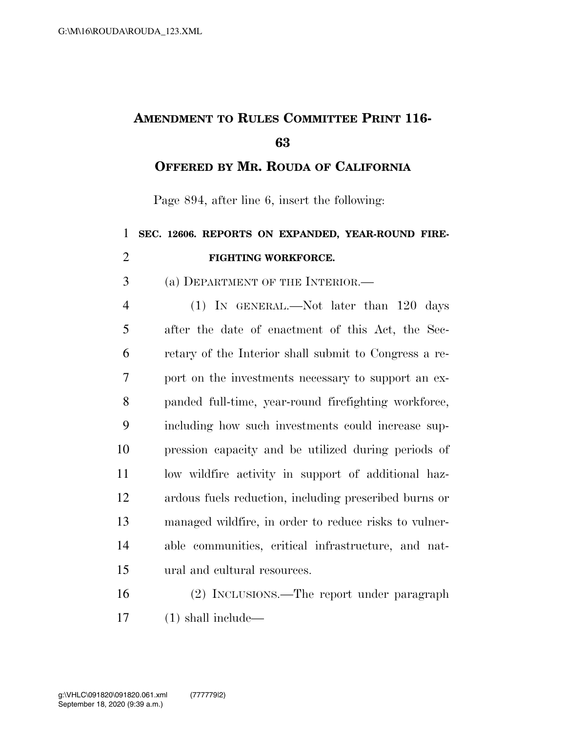## **AMENDMENT TO RULES COMMITTEE PRINT 116-**

**OFFERED BY MR. ROUDA OF CALIFORNIA**

Page 894, after line 6, insert the following:

## **SEC. 12606. REPORTS ON EXPANDED, YEAR-ROUND FIRE-FIGHTING WORKFORCE.**

(a) DEPARTMENT OF THE INTERIOR.—

 (1) IN GENERAL.—Not later than 120 days after the date of enactment of this Act, the Sec- retary of the Interior shall submit to Congress a re- port on the investments necessary to support an ex- panded full-time, year-round firefighting workforce, including how such investments could increase sup- pression capacity and be utilized during periods of low wildfire activity in support of additional haz- ardous fuels reduction, including prescribed burns or managed wildfire, in order to reduce risks to vulner- able communities, critical infrastructure, and nat-ural and cultural resources.

 (2) INCLUSIONS.—The report under paragraph (1) shall include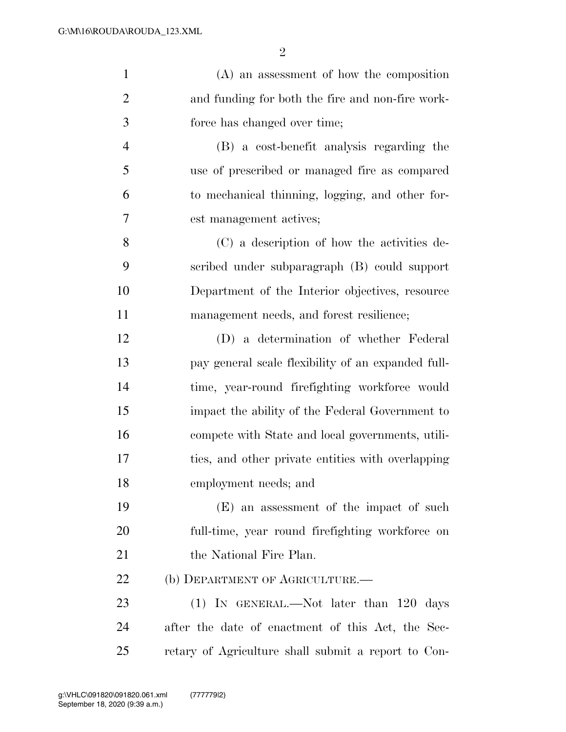| $\mathbf{1}$   | $(A)$ an assessment of how the composition          |
|----------------|-----------------------------------------------------|
| $\overline{2}$ | and funding for both the fire and non-fire work-    |
| 3              | force has changed over time;                        |
| $\overline{4}$ | (B) a cost-benefit analysis regarding the           |
| 5              | use of prescribed or managed fire as compared       |
| 6              | to mechanical thinning, logging, and other for-     |
| 7              | est management actives;                             |
| 8              | (C) a description of how the activities de-         |
| 9              | scribed under subparagraph (B) could support        |
| 10             | Department of the Interior objectives, resource     |
| 11             | management needs, and forest resilience;            |
| 12             | (D) a determination of whether Federal              |
| 13             | pay general scale flexibility of an expanded full-  |
| 14             | time, year-round firefighting workforce would       |
| 15             | impact the ability of the Federal Government to     |
| 16             | compete with State and local governments, utili-    |
| 17             | ties, and other private entities with overlapping   |
| 18             | employment needs; and                               |
| 19             | (E) an assessment of the impact of such             |
| 20             | full-time, year round firefighting workforce on     |
| 21             | the National Fire Plan.                             |
| <u>22</u>      | (b) DEPARTMENT OF AGRICULTURE.                      |
| 23             | $(1)$ IN GENERAL.—Not later than 120 days           |
| 24             | after the date of enactment of this Act, the Sec-   |
| 25             | retary of Agriculture shall submit a report to Con- |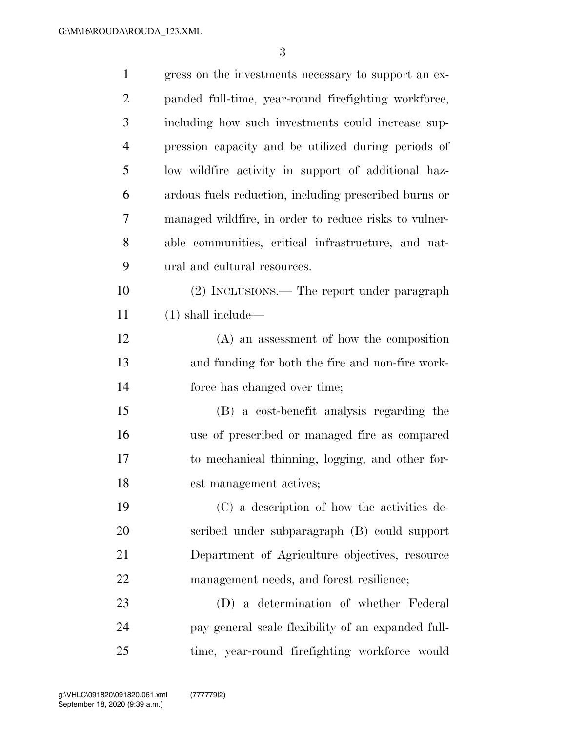| $\mathbf{1}$   | gress on the investments necessary to support an ex-  |
|----------------|-------------------------------------------------------|
| $\overline{2}$ | panded full-time, year-round firefighting workforce,  |
| 3              | including how such investments could increase sup-    |
| $\overline{4}$ | pression capacity and be utilized during periods of   |
| 5              | low wildfire activity in support of additional haz-   |
| 6              | ardous fuels reduction, including prescribed burns or |
| 7              | managed wildfire, in order to reduce risks to vulner- |
| 8              | able communities, critical infrastructure, and nat-   |
| 9              | ural and cultural resources.                          |
| 10             | (2) INCLUSIONS.— The report under paragraph           |
| 11             | $(1)$ shall include—                                  |
| 12             | $(A)$ an assessment of how the composition            |
| 13             | and funding for both the fire and non-fire work-      |
| 14             | force has changed over time;                          |
| 15             | (B) a cost-benefit analysis regarding the             |
| 16             | use of prescribed or managed fire as compared         |
| 17             | to mechanical thinning, logging, and other for-       |
| 18             | est management actives;                               |
| 19             | (C) a description of how the activities de-           |
| 20             | scribed under subparagraph (B) could support          |
| 21             | Department of Agriculture objectives, resource        |
| 22             | management needs, and forest resilience;              |
| 23             | (D) a determination of whether Federal                |
| 24             | pay general scale flexibility of an expanded full-    |
| 25             | time, year-round firefighting workforce would         |